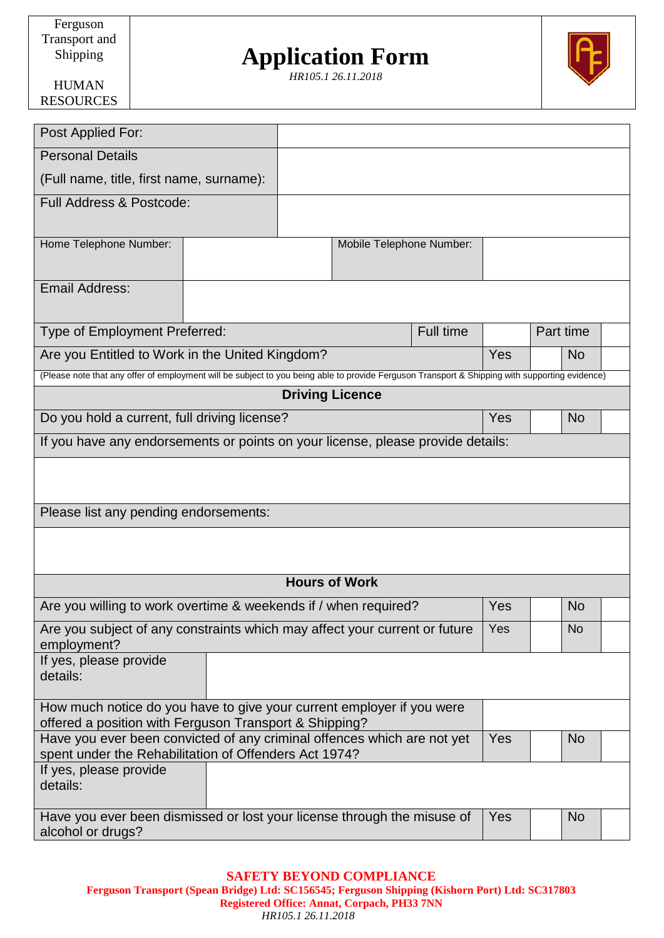## **Application Form**

*HR105.1 26.11.2018*



HUMAN RESOURCES

| Post Applied For:                                                                                                                              |  |                          |                        |     |           |           |           |
|------------------------------------------------------------------------------------------------------------------------------------------------|--|--------------------------|------------------------|-----|-----------|-----------|-----------|
| <b>Personal Details</b>                                                                                                                        |  |                          |                        |     |           |           |           |
| (Full name, title, first name, surname):                                                                                                       |  |                          |                        |     |           |           |           |
| <b>Full Address &amp; Postcode:</b>                                                                                                            |  |                          |                        |     |           |           |           |
| Home Telephone Number:                                                                                                                         |  | Mobile Telephone Number: |                        |     |           |           |           |
| <b>Email Address:</b>                                                                                                                          |  |                          |                        |     |           |           |           |
| <b>Full time</b><br>Type of Employment Preferred:                                                                                              |  |                          |                        |     | Part time |           |           |
| Are you Entitled to Work in the United Kingdom?                                                                                                |  |                          |                        | Yes |           | No.       |           |
| (Please note that any offer of employment will be subject to you being able to provide Ferguson Transport & Shipping with supporting evidence) |  |                          |                        |     |           |           |           |
|                                                                                                                                                |  |                          | <b>Driving Licence</b> |     |           |           |           |
| Do you hold a current, full driving license?                                                                                                   |  |                          |                        |     | Yes       |           | <b>No</b> |
| If you have any endorsements or points on your license, please provide details:                                                                |  |                          |                        |     |           |           |           |
| Please list any pending endorsements:                                                                                                          |  |                          |                        |     |           |           |           |
| <b>Hours of Work</b>                                                                                                                           |  |                          |                        |     |           |           |           |
| Are you willing to work overtime & weekends if / when required?                                                                                |  |                          |                        | Yes |           | <b>No</b> |           |
| Are you subject of any constraints which may affect your current or future<br>employment?                                                      |  |                          | Yes                    |     | <b>No</b> |           |           |
| If yes, please provide<br>details:                                                                                                             |  |                          |                        |     |           |           |           |
| How much notice do you have to give your current employer if you were<br>offered a position with Ferguson Transport & Shipping?                |  |                          |                        |     |           |           |           |
| Have you ever been convicted of any criminal offences which are not yet<br>spent under the Rehabilitation of Offenders Act 1974?               |  |                          | Yes                    |     | No        |           |           |
| If yes, please provide<br>details:                                                                                                             |  |                          |                        |     |           |           |           |
| Have you ever been dismissed or lost your license through the misuse of<br>alcohol or drugs?                                                   |  |                          | Yes                    |     | No.       |           |           |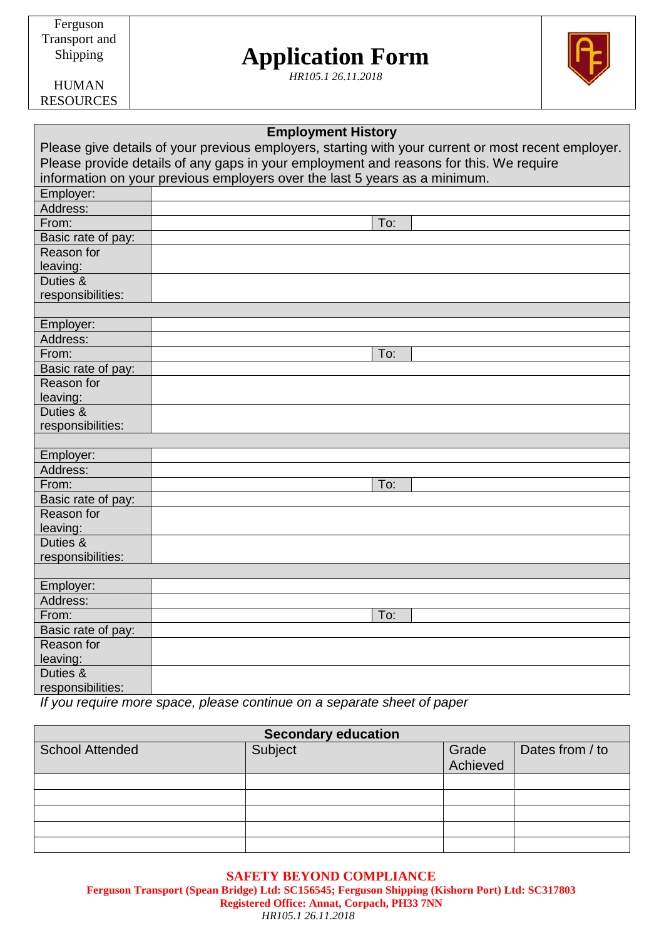Ferguson Transport and Shipping

# **Application Form**

*HR105.1 26.11.2018*



HUMAN RESOURCES

| <b>Employment History</b> |                                                                                                     |  |  |  |
|---------------------------|-----------------------------------------------------------------------------------------------------|--|--|--|
|                           | Please give details of your previous employers, starting with your current or most recent employer. |  |  |  |
|                           | Please provide details of any gaps in your employment and reasons for this. We require              |  |  |  |
|                           | information on your previous employers over the last 5 years as a minimum.                          |  |  |  |
| Employer:                 |                                                                                                     |  |  |  |
| Address:                  |                                                                                                     |  |  |  |
| From:                     | To:                                                                                                 |  |  |  |
| Basic rate of pay:        |                                                                                                     |  |  |  |
| Reason for                |                                                                                                     |  |  |  |
| leaving:                  |                                                                                                     |  |  |  |
| Duties &                  |                                                                                                     |  |  |  |
| responsibilities:         |                                                                                                     |  |  |  |
|                           |                                                                                                     |  |  |  |
| Employer:                 |                                                                                                     |  |  |  |
| Address:                  |                                                                                                     |  |  |  |
| From:                     | To:                                                                                                 |  |  |  |
| Basic rate of pay:        |                                                                                                     |  |  |  |
| Reason for                |                                                                                                     |  |  |  |
| leaving:                  |                                                                                                     |  |  |  |
| Duties &                  |                                                                                                     |  |  |  |
| responsibilities:         |                                                                                                     |  |  |  |
|                           |                                                                                                     |  |  |  |
| Employer:                 |                                                                                                     |  |  |  |
| Address:                  |                                                                                                     |  |  |  |
| From:                     | To:                                                                                                 |  |  |  |
| Basic rate of pay:        |                                                                                                     |  |  |  |
| Reason for                |                                                                                                     |  |  |  |
| leaving:                  |                                                                                                     |  |  |  |
| Duties &                  |                                                                                                     |  |  |  |
| responsibilities:         |                                                                                                     |  |  |  |
|                           |                                                                                                     |  |  |  |
| Employer:                 |                                                                                                     |  |  |  |
| Address:                  |                                                                                                     |  |  |  |
| From:                     | To:                                                                                                 |  |  |  |
| Basic rate of pay:        |                                                                                                     |  |  |  |
| Reason for                |                                                                                                     |  |  |  |
| leaving:                  |                                                                                                     |  |  |  |
| Duties &                  |                                                                                                     |  |  |  |
| responsibilities:         |                                                                                                     |  |  |  |

*If you require more space, please continue on a separate sheet of paper*

| <b>Secondary education</b> |         |                   |                 |  |
|----------------------------|---------|-------------------|-----------------|--|
| <b>School Attended</b>     | Subject | Grade<br>Achieved | Dates from / to |  |
|                            |         |                   |                 |  |
|                            |         |                   |                 |  |
|                            |         |                   |                 |  |
|                            |         |                   |                 |  |
|                            |         |                   |                 |  |
|                            |         |                   |                 |  |